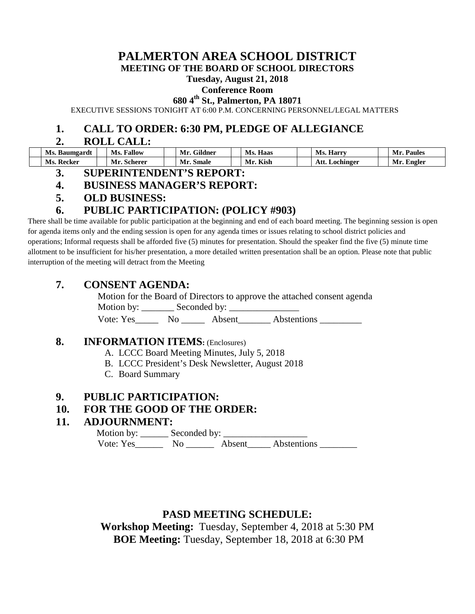# **PALMERTON AREA SCHOOL DISTRICT**

**MEETING OF THE BOARD OF SCHOOL DIRECTORS**

#### **Tuesday, August 21, 2018**

#### **Conference Room**

**680 4th St., Palmerton, PA 18071**

EXECUTIVE SESSIONS TONIGHT AT 6:00 P.M. CONCERNING PERSONNEL/LEGAL MATTERS

#### **1. CALL TO ORDER: 6:30 PM, PLEDGE OF ALLEGIANCE**

#### **2. ROLL CALL:**

| Ms. Baumgardt   | Ms.<br>Fallow         | . Gildner<br>Mr. | Haas<br>Ms.  | Ms. Harry      | Mr.<br><b>Paules</b> |
|-----------------|-----------------------|------------------|--------------|----------------|----------------------|
| Ms.<br>. Recker | <b>Scherer</b><br>Mr. | Mr. Smale        | . Kish<br>Mr | Att. Lochinger | Mr. Engler           |

#### **3. SUPERINTENDENT'S REPORT:**

#### **4. BUSINESS MANAGER'S REPORT:**

**5. OLD BUSINESS:**

## **6. PUBLIC PARTICIPATION: (POLICY #903)**

There shall be time available for public participation at the beginning and end of each board meeting. The beginning session is open for agenda items only and the ending session is open for any agenda times or issues relating to school district policies and operations; Informal requests shall be afforded five (5) minutes for presentation. Should the speaker find the five (5) minute time allotment to be insufficient for his/her presentation, a more detailed written presentation shall be an option. Please note that public interruption of the meeting will detract from the Meeting

## **7. CONSENT AGENDA:**

Motion for the Board of Directors to approve the attached consent agenda Motion by: Seconded by:

Vote: Yes No Absent Abstentions

#### **8. INFORMATION ITEMS:** (Enclosures)

- A. LCCC Board Meeting Minutes, July 5, 2018
- B. LCCC President's Desk Newsletter, August 2018
- C. Board Summary

## **9. PUBLIC PARTICIPATION:**

#### **10. FOR THE GOOD OF THE ORDER:**

#### **11. ADJOURNMENT:**

 Motion by: \_\_\_\_\_\_ Seconded by: \_\_\_\_\_\_\_\_\_\_\_\_\_\_\_\_\_\_ Vote: Yes\_\_\_\_\_\_\_\_ No \_\_\_\_\_\_\_ Absent\_\_\_\_\_ Abstentions \_\_\_\_\_\_\_\_\_

# **PASD MEETING SCHEDULE:**

**Workshop Meeting:** Tuesday, September 4, 2018 at 5:30 PM **BOE Meeting:** Tuesday, September 18, 2018 at 6:30 PM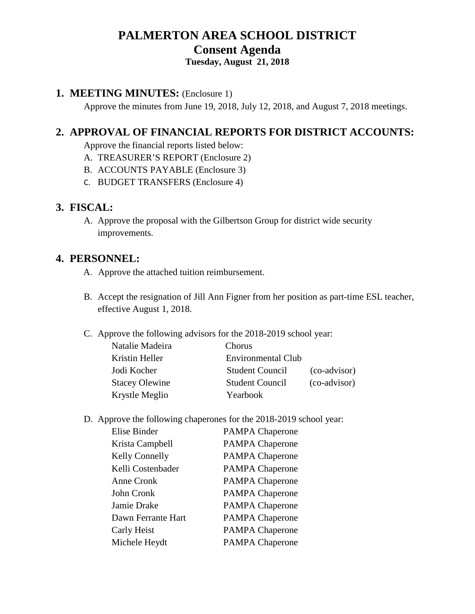# **PALMERTON AREA SCHOOL DISTRICT Consent Agenda**

# **Tuesday, August 21, 2018**

## **1. MEETING MINUTES:** (Enclosure 1)

Approve the minutes from June 19, 2018, July 12, 2018, and August 7, 2018 meetings.

# **2. APPROVAL OF FINANCIAL REPORTS FOR DISTRICT ACCOUNTS:**

Approve the financial reports listed below:

- A. TREASURER'S REPORT (Enclosure 2)
- B. ACCOUNTS PAYABLE (Enclosure 3)
- C. BUDGET TRANSFERS (Enclosure 4)

#### **3. FISCAL:**

A. Approve the proposal with the Gilbertson Group for district wide security improvements.

## **4. PERSONNEL:**

- A. Approve the attached tuition reimbursement.
- B. Accept the resignation of Jill Ann Figner from her position as part-time ESL teacher, effective August 1, 2018.
- C. Approve the following advisors for the 2018-2019 school year:

| Chorus                 |                           |
|------------------------|---------------------------|
|                        |                           |
| <b>Student Council</b> | (co-advisor)              |
| <b>Student Council</b> | (co-advisor)              |
| Yearbook               |                           |
|                        | <b>Environmental Club</b> |

D. Approve the following chaperones for the 2018-2019 school year:

| Elise Binder       | <b>PAMPA Chaperone</b> |
|--------------------|------------------------|
| Krista Campbell    | <b>PAMPA Chaperone</b> |
| Kelly Connelly     | <b>PAMPA Chaperone</b> |
| Kelli Costenbader  | <b>PAMPA Chaperone</b> |
| Anne Cronk         | <b>PAMPA Chaperone</b> |
| John Cronk         | <b>PAMPA Chaperone</b> |
| Jamie Drake        | <b>PAMPA Chaperone</b> |
| Dawn Ferrante Hart | <b>PAMPA Chaperone</b> |
| Carly Heist        | <b>PAMPA Chaperone</b> |
| Michele Heydt      | <b>PAMPA Chaperone</b> |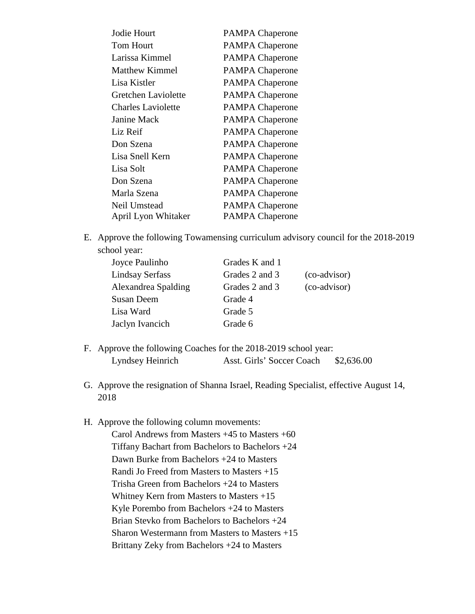| Jodie Hourt               | <b>PAMPA Chaperone</b> |
|---------------------------|------------------------|
| <b>Tom Hourt</b>          | <b>PAMPA Chaperone</b> |
| Larissa Kimmel            | <b>PAMPA Chaperone</b> |
| Matthew Kimmel            | <b>PAMPA Chaperone</b> |
| Lisa Kistler              | <b>PAMPA Chaperone</b> |
| Gretchen Laviolette       | <b>PAMPA Chaperone</b> |
| <b>Charles Laviolette</b> | <b>PAMPA Chaperone</b> |
| Janine Mack               | <b>PAMPA Chaperone</b> |
| Liz Reif                  | <b>PAMPA Chaperone</b> |
| Don Szena                 | <b>PAMPA Chaperone</b> |
| Lisa Snell Kern           | <b>PAMPA Chaperone</b> |
| Lisa Solt                 | <b>PAMPA Chaperone</b> |
| Don Szena                 | <b>PAMPA Chaperone</b> |
| Marla Szena               | <b>PAMPA Chaperone</b> |
| Neil Umstead              | <b>PAMPA Chaperone</b> |
| April Lyon Whitaker       | <b>PAMPA Chaperone</b> |

E. Approve the following Towamensing curriculum advisory council for the 2018-2019 school year:

| Joyce Paulinho         | Grades K and 1 |              |
|------------------------|----------------|--------------|
| <b>Lindsay Serfass</b> | Grades 2 and 3 | (co-advisor) |
| Alexandrea Spalding    | Grades 2 and 3 | (co-advisor) |
| Susan Deem             | Grade 4        |              |
| Lisa Ward              | Grade 5        |              |
| Jaclyn Ivancich        | Grade 6        |              |

- F. Approve the following Coaches for the 2018-2019 school year: Lyndsey Heinrich Asst. Girls' Soccer Coach \$2,636.00
- G. Approve the resignation of Shanna Israel, Reading Specialist, effective August 14, 2018
- H. Approve the following column movements:

Carol Andrews from Masters +45 to Masters +60 Tiffany Bachart from Bachelors to Bachelors +24 Dawn Burke from Bachelors +24 to Masters Randi Jo Freed from Masters to Masters +15 Trisha Green from Bachelors +24 to Masters Whitney Kern from Masters to Masters +15 Kyle Porembo from Bachelors +24 to Masters Brian Stevko from Bachelors to Bachelors +24 Sharon Westermann from Masters to Masters +15 Brittany Zeky from Bachelors +24 to Masters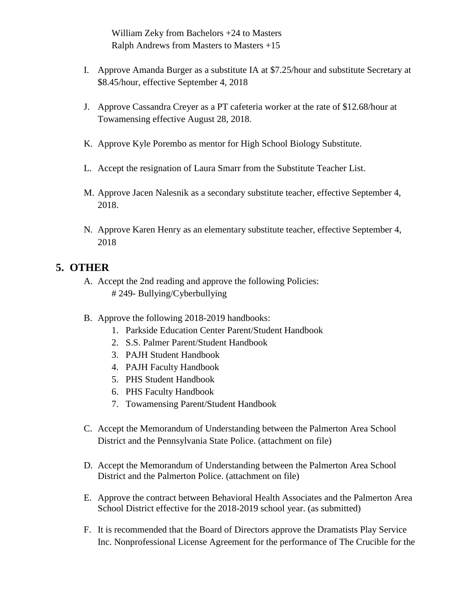William Zeky from Bachelors +24 to Masters Ralph Andrews from Masters to Masters +15

- I. Approve Amanda Burger as a substitute IA at \$7.25/hour and substitute Secretary at \$8.45/hour, effective September 4, 2018
- J. Approve Cassandra Creyer as a PT cafeteria worker at the rate of \$12.68/hour at Towamensing effective August 28, 2018.
- K. Approve Kyle Porembo as mentor for High School Biology Substitute.
- L. Accept the resignation of Laura Smarr from the Substitute Teacher List.
- M. Approve Jacen Nalesnik as a secondary substitute teacher, effective September 4, 2018.
- N. Approve Karen Henry as an elementary substitute teacher, effective September 4, 2018

## **5. OTHER**

- A. Accept the 2nd reading and approve the following Policies: # 249- Bullying/Cyberbullying
- B. Approve the following 2018-2019 handbooks:
	- 1. Parkside Education Center Parent/Student Handbook
	- 2. S.S. Palmer Parent/Student Handbook
	- 3. PAJH Student Handbook
	- 4. PAJH Faculty Handbook
	- 5. PHS Student Handbook
	- 6. PHS Faculty Handbook
	- 7. Towamensing Parent/Student Handbook
- C. Accept the Memorandum of Understanding between the Palmerton Area School District and the Pennsylvania State Police. (attachment on file)
- D. Accept the Memorandum of Understanding between the Palmerton Area School District and the Palmerton Police. (attachment on file)
- E. Approve the contract between Behavioral Health Associates and the Palmerton Area School District effective for the 2018-2019 school year. (as submitted)
- F. It is recommended that the Board of Directors approve the Dramatists Play Service Inc. Nonprofessional License Agreement for the performance of The Crucible for the